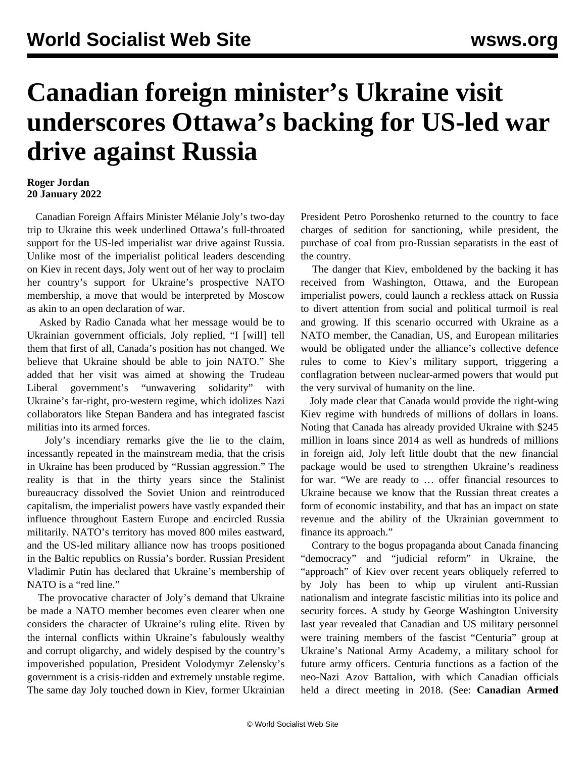## **Canadian foreign minister's Ukraine visit underscores Ottawa's backing for US-led war drive against Russia**

## **Roger Jordan 20 January 2022**

 Canadian Foreign Affairs Minister Mélanie Joly's two-day trip to Ukraine this week underlined Ottawa's full-throated support for the US-led imperialist war drive against Russia. Unlike most of the imperialist political leaders descending on Kiev in recent days, Joly went out of her way to proclaim her country's support for Ukraine's prospective NATO membership, a move that would be interpreted by Moscow as akin to an open declaration of war.

 Asked by Radio Canada what her message would be to Ukrainian government officials, Joly replied, "I [will] tell them that first of all, Canada's position has not changed. We believe that Ukraine should be able to join NATO." She added that her visit was aimed at showing the Trudeau Liberal government's "unwavering solidarity" with Ukraine's far-right, pro-western regime, which idolizes Nazi collaborators like Stepan Bandera and has integrated fascist militias into its armed forces.

 Joly's incendiary remarks give the lie to the claim, incessantly repeated in the mainstream media, that the crisis in Ukraine has been produced by "Russian aggression." The reality is that in the thirty years since the Stalinist bureaucracy dissolved the Soviet Union and reintroduced capitalism, the imperialist powers have vastly expanded their influence throughout Eastern Europe and encircled Russia militarily. NATO's territory has moved 800 miles eastward, and the US-led military alliance now has troops positioned in the Baltic republics on Russia's border. Russian President Vladimir Putin has declared that Ukraine's membership of NATO is a "red line."

 The provocative character of Joly's demand that Ukraine be made a NATO member becomes even clearer when one considers the character of Ukraine's ruling elite. Riven by the internal conflicts within Ukraine's fabulously wealthy and corrupt oligarchy, and widely despised by the country's impoverished population, President Volodymyr Zelensky's government is a crisis-ridden and extremely unstable regime. The same day Joly touched down in Kiev, former Ukrainian President Petro Poroshenko returned to the country to face charges of sedition for sanctioning, while president, the purchase of coal from pro-Russian separatists in the east of the country.

 The danger that Kiev, emboldened by the backing it has received from Washington, Ottawa, and the European imperialist powers, could launch a reckless attack on Russia to divert attention from social and political turmoil is real and growing. If this scenario occurred with Ukraine as a NATO member, the Canadian, US, and European militaries would be obligated under the alliance's collective defence rules to come to Kiev's military support, triggering a conflagration between nuclear-armed powers that would put the very survival of humanity on the line.

 Joly made clear that Canada would provide the right-wing Kiev regime with hundreds of millions of dollars in loans. Noting that Canada has already provided Ukraine with \$245 million in loans since 2014 as well as hundreds of millions in foreign aid, Joly left little doubt that the new financial package would be used to strengthen Ukraine's readiness for war. "We are ready to … offer financial resources to Ukraine because we know that the Russian threat creates a form of economic instability, and that has an impact on state revenue and the ability of the Ukrainian government to finance its approach."

 Contrary to the bogus propaganda about Canada financing "democracy" and "judicial reform" in Ukraine, the "approach" of Kiev over recent years obliquely referred to by Joly has been to whip up virulent anti-Russian nationalism and integrate fascistic militias into its police and security forces. A study by George Washington University last year revealed that Canadian and US military personnel were training members of the fascist "Centuria" group at Ukraine's National Army Academy, a military school for future army officers. Centuria functions as a faction of the neo-Nazi Azov Battalion, with which Canadian officials held a direct meeting in 2018. (See: **[Canadian Armed](/en/articles/2021/12/03/uknz-d03.html)**